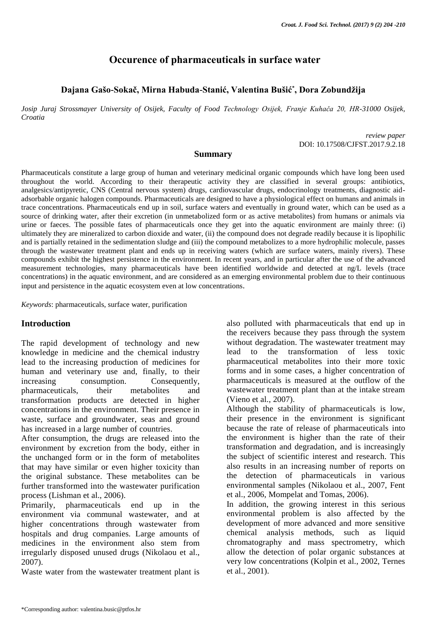# **Occurence of pharmaceuticals in surface water**

## **Dajana Gašo-Sokač, Mirna Habuda-Stanić, Valentina Bušić\* , Dora Zobundžija**

*Josip Juraj Strossmayer University of Osijek, Faculty of Food Technology Osijek, Franje Kuhača 20, HR-31000 Osijek, Croatia*

> *review paper* DOI: 10.17508/CJFST.2017.9.2.18

#### **Summary**

Pharmaceuticals constitute a large group of human and veterinary medicinal organic compounds which have long been used throughout the world. According to their therapeutic activity they are classified in several groups: antibiotics, analgesics/antipyretic, CNS (Central nervous system) drugs, cardiovascular drugs, endocrinology treatments, diagnostic aidadsorbable organic halogen compounds. Pharmaceuticals are designed to have a physiological effect on humans and animals in trace concentrations. Pharmaceuticals end up in soil, surface waters and eventually in ground water, which can be used as a source of drinking water, after their excretion (in unmetabolized form or as active metabolites) from humans or animals via urine or faeces. The possible fates of pharmaceuticals once they get into the aquatic environment are mainly three: (i) ultimately they are mineralized to carbon dioxide and water, (ii) the compound does not degrade readily because it is lipophilic and is partially retained in the sedimentation sludge and (iii) the compound metabolizes to a more hydrophilic molecule, passes through the wastewater treatment plant and ends up in receiving waters (which are surface waters, mainly rivers). These compounds exhibit the highest persistence in the environment. In recent years, and in particular after the use of the advanced measurement technologies, many pharmaceuticals have been identified worldwide and detected at ng/L levels (trace concentrations) in the aquatic environment, and are considered as an emerging environmental problem due to their continuous input and persistence in the aquatic ecosystem even at low concentrations.

*Keywords*: pharmaceuticals, surface water, purification

### **Introduction**

The rapid development of technology and new knowledge in medicine and the chemical industry lead to the increasing production of medicines for human and veterinary use and, finally, to their increasing consumption. Consequently, pharmaceuticals, their metabolites and transformation products are detected in higher concentrations in the environment. Their presence in waste, surface and groundwater, seas and ground has increased in a large number of countries.

After consumption, the drugs are released into the environment by excretion from the body, either in the unchanged form or in the form of metabolites that may have similar or even higher toxicity than the original substance. These metabolites can be further transformed into the wastewater purification process (Lishman et al., 2006).

Primarily, pharmaceuticals end up in the environment via communal wastewater, and at higher concentrations through wastewater from hospitals and drug companies. Large amounts of medicines in the environment also stem from irregularly disposed unused drugs (Nikolaou et al., 2007).

Waste water from the wastewater treatment plant is

also polluted with pharmaceuticals that end up in the receivers because they pass through the system without degradation. The wastewater treatment may lead to the transformation of less toxic pharmaceutical metabolites into their more toxic forms and in some cases, a higher concentration of pharmaceuticals is measured at the outflow of the wastewater treatment plant than at the intake stream (Vieno et al., 2007).

Although the stability of pharmaceuticals is low, their presence in the environment is significant because the rate of release of pharmaceuticals into the environment is higher than the rate of their transformation and degradation, and is increasingly the subject of scientific interest and research. This also results in an increasing number of reports on the detection of pharmaceuticals in various environmental samples (Nikolaou et al., 2007, Fent et al., 2006, Mompelat and Tomas, 2006).

In addition, the growing interest in this serious environmental problem is also affected by the development of more advanced and more sensitive chemical analysis methods, such as liquid chromatography and mass spectrometry, which allow the detection of polar organic substances at very low concentrations (Kolpin et al., 2002, Ternes et al., 2001).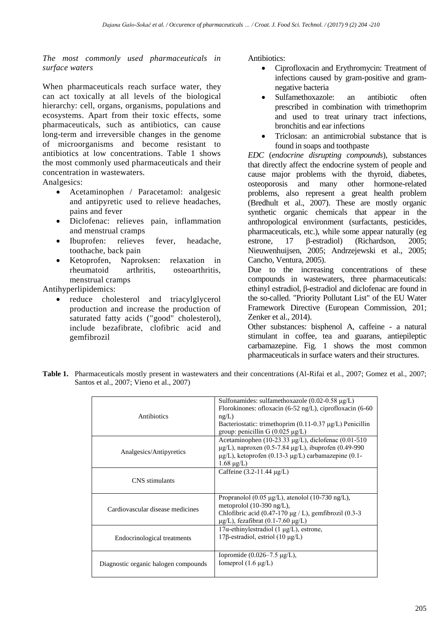*The most commonly used pharmaceuticals in surface waters*

When pharmaceuticals reach surface water, they can act toxically at all levels of the biological hierarchy: cell, organs, organisms, populations and ecosystems. Apart from their toxic effects, some pharmaceuticals, such as antibiotics, can cause long-term and irreversible changes in the genome of microorganisms and become resistant to antibiotics at low concentrations. Table 1 shows the most commonly used pharmaceuticals and their concentration in wastewaters. Analgesics:

Acetaminophen / Paracetamol: analgesic

- and antipyretic used to relieve headaches, pains and fever
- Diclofenac: relieves pain, inflammation and menstrual cramps
- Ibuprofen: relieves fever, headache, toothache, back pain
- Ketoprofen, Naproksen: relaxation in rheumatoid arthritis, osteoarthritis, menstrual cramps

Antihyperlipidemics:

 reduce cholesterol and triacylglycerol production and increase the production of saturated fatty acids ("good" cholesterol), include bezafibrate, clofibric acid and gemfibrozil

Antibiotics:

- Ciprofloxacin and Erythromycin: Treatment of infections caused by gram-positive and gramnegative bacteria
- Sulfamethoxazole: an antibiotic often prescribed in combination with trimethoprim and used to treat urinary tract infections, bronchitis and ear infections
- Triclosan: an antimicrobial substance that is found in soaps and toothpaste

*EDC* (*endocrine disrupting compounds*), substances that directly affect the endocrine system of people and cause major problems with the thyroid, diabetes, osteoporosis and many other hormone-related problems, also represent a great health problem (Bredhult et al., 2007). These are mostly organic synthetic organic chemicals that appear in the anthropological environment (surfactants, pesticides, pharmaceuticals, etc.), while some appear naturally (eg estrone, 17 β-estradiol) (Richardson, 2005; Nieuwenhuijsen, 2005; Andrzejewski et al., 2005; Cancho, Ventura, 2005).

Due to the increasing concentrations of these compounds in wastewaters, three pharmaceuticals: ethinyl estradiol, β-estradiol and diclofenac are found in the so-called. "Priority Pollutant List" of the EU Water Framework Directive (European Commission, 201; Zenker et al., 2014).

Other substances: bisphenol A, caffeine - a natural stimulant in coffee, tea and guarans, antiepileptic carbamazepine. Fig. 1 shows the most common pharmaceuticals in surface waters and their structures.

**Table 1.** Pharmaceuticals mostly present in wastewaters and their concentrations (Al-Rifai et al., 2007; Gomez et al., 2007; Santos et al., 2007; Vieno et al., 2007)

| Antibiotics                          | Sulfonamides: sulfamethoxazole $(0.02-0.58 \mu g/L)$<br>Florokinones: ofloxacin $(6-52 \text{ ng/L})$ , ciprofloxacin $(6-60 \text{ m})$<br>ng/L)<br>Bacteriostatic: trimethoprim $(0.11-0.37 \mu g/L)$ Penicillin<br>group: penicillin G $(0.025 \mu g/L)$ |
|--------------------------------------|-------------------------------------------------------------------------------------------------------------------------------------------------------------------------------------------------------------------------------------------------------------|
| Analgesics/Antipyretics              | Acetaminophen (10-23.33 µg/L), diclofenac (0.01-510<br>$\mu$ g/L), naproxen (0.5-7.84 $\mu$ g/L), ibuprofen (0.49-990<br>$\mu$ g/L), ketoprofen (0.13-3 $\mu$ g/L) carbamazepine (0.1-<br>$1.68 \mu g/L$ )                                                  |
| CNS stimulants                       | Caffeine $(3.2 - 11.44 \mu g/L)$                                                                                                                                                                                                                            |
| Cardiovascular disease medicines     | Propranolol (0.05 $\mu$ g/L), atenolol (10-730 ng/L),<br>metoprolol $(10-390 \text{ ng/L})$ ,<br>Chlofibric acid $(0.47-170 \mu g/L)$ , gemfibrozil $(0.3-3$<br>$\mu$ g/L), fezafibrat (0.1-7.60 $\mu$ g/L)                                                 |
| Endocrinological treatments          | $17\alpha$ -ethinylestradiol (1 µg/L), estrone,<br>17β-estradiol, estriol (10 μg/L)                                                                                                                                                                         |
| Diagnostic organic halogen compounds | Iopromide $(0.026 - 7.5 \mu g/L)$ ,<br>Iomeprol $(1.6 \mu g/L)$                                                                                                                                                                                             |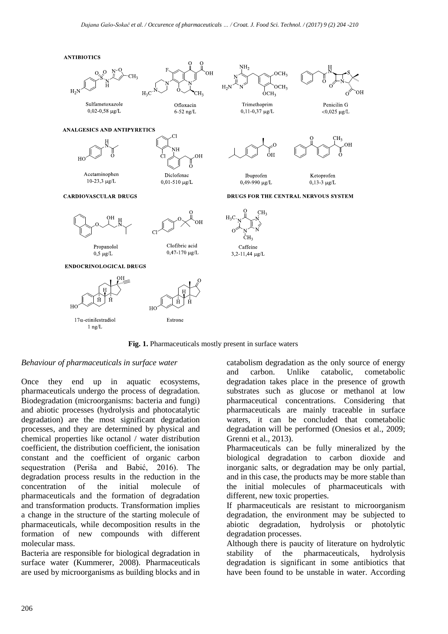**ANTIBIOTICS** 



Sulfametoxazole

 $0,02 - 0,58 \mu g/L$ 

Acetaminophen

10-23,3 μg/L

**CARDIOVASCULAR DRUGS** 

ANALGESICS AND ANTIPYRETICS



Ofloxacin

 $6-52$  ng/L

ÓН

 $H<sub>2</sub>C$ 





Trimethoprim  $0,11$ -0,37 µg/L

Penicilin G  $<$ 0,025 µg/L



Ibuprofen 0,49-990 µg/L

Ketoprofen  $0.13 - 3 \text{ m/s}$ 

DRUGS FOR THE CENTRAL NERVOUS SYSTEM





Diclofenac

 $0,01-510 \mu g/L$ 

Propanolol  $0.5 \mu g/L$ 



**ENDOCRINOLOGICAL DRUGS** 





ĊН Caffeine 3,2-11,44 µg/L

**Fig. 1.** Pharmaceuticals mostly present in surface waters

### *Behaviour of pharmaceuticals in surface water*

Once they end up in aquatic ecosystems, pharmaceuticals undergo the process of degradation. Biodegradation (microorganisms: bacteria and fungi) and abiotic processes (hydrolysis and photocatalytic degradation) are the most significant degradation processes, and they are determined by physical and chemical properties like octanol / water distribution coefficient, the distribution coefficient, the ionisation constant and the coefficient of organic carbon sequestration (Periša and Babić, 2016). The degradation process results in the reduction in the concentration of the initial molecule of pharmaceuticals and the formation of degradation and transformation products. Transformation implies a change in the structure of the starting molecule of pharmaceuticals, while decomposition results in the formation of new compounds with different molecular mass.

Bacteria are responsible for biological degradation in surface water (Kummerer, 2008). Pharmaceuticals are used by microorganisms as building blocks and in catabolism degradation as the only source of energy and carbon. Unlike catabolic, cometabolic degradation takes place in the presence of growth substrates such as glucose or methanol at low pharmaceutical concentrations. Considering that pharmaceuticals are mainly traceable in surface waters, it can be concluded that cometabolic degradation will be performed (Onesios et al., 2009; Grenni et al., 2013).

Pharmaceuticals can be fully mineralized by the biological degradation to carbon dioxide and inorganic salts, or degradation may be only partial, and in this case, the products may be more stable than the initial molecules of pharmaceuticals with different, new toxic properties.

If pharmaceuticals are resistant to microorganism degradation, the environment may be subjected to abiotic degradation, hydrolysis or photolytic degradation processes.

Although there is paucity of literature on hydrolytic stability of the pharmaceuticals, hydrolysis degradation is significant in some antibiotics that have been found to be unstable in water. According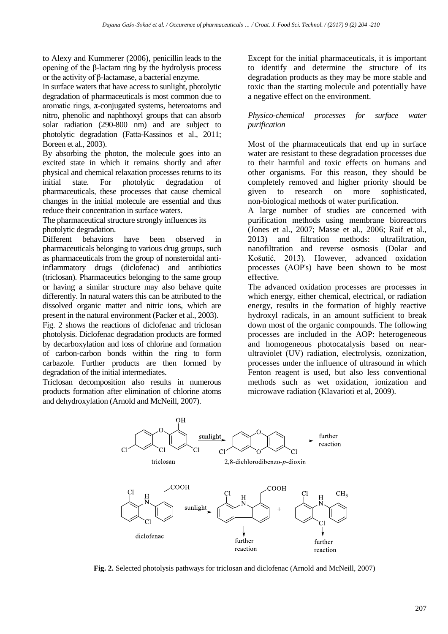to Alexy and Kummerer (2006), penicillin leads to the opening of the β-lactam ring by the hydrolysis process or the activity of β-lactamase, a bacterial enzyme.

In surface waters that have access to sunlight, photolytic degradation of pharmaceuticals is most common due to aromatic rings,  $\pi$ -conjugated systems, heteroatoms and nitro, phenolic and naphthoxyl groups that can absorb solar radiation (290-800 nm) and are subject to photolytic degradation (Fatta-Kassinos et al., 2011; Boreen et al., 2003).

By absorbing the photon, the molecule goes into an excited state in which it remains shortly and after physical and chemical relaxation processes returns to its initial state. For photolytic degradation of pharmaceuticals, these processes that cause chemical changes in the initial molecule are essential and thus reduce their concentration in surface waters.

The pharmaceutical structure strongly influences its photolytic degradation.

Different behaviors have been observed in pharmaceuticals belonging to various drug groups, such as pharmaceuticals from the group of nonsteroidal antiinflammatory drugs (diclofenac) and antibiotics (triclosan). Pharmaceutics belonging to the same group or having a similar structure may also behave quite differently. In natural waters this can be attributed to the dissolved organic matter and nitric ions, which are present in the natural environment (Packer et al., 2003).

Fig. 2 shows the reactions of diclofenac and triclosan photolysis. Diclofenac degradation products are formed by decarboxylation and loss of chlorine and formation of carbon-carbon bonds within the ring to form carbazole. Further products are then formed by degradation of the initial intermediates.

Triclosan decomposition also results in numerous products formation after elimination of chlorine atoms and dehydroxylation (Arnold and McNeill, 2007).

Except for the initial pharmaceuticals, it is important to identify and determine the structure of its degradation products as they may be more stable and toxic than the starting molecule and potentially have a negative effect on the environment.

#### *Physico-chemical processes for surface water purification*

Most of the pharmaceuticals that end up in surface water are resistant to these degradation processes due to their harmful and toxic effects on humans and other organisms. For this reason, they should be completely removed and higher priority should be given to research on more sophisticated, non-biological methods of water purification.

A large number of studies are concerned with purification methods using membrane bioreactors (Jones et al., 2007; Masse et al., 2006; Raif et al., 2013) and filtration methods: ultrafiltration, nanofiltration and reverse osmosis (Dolar and Košutić, 2013). However, advanced oxidation processes (AOP's) have been shown to be most effective.

The advanced oxidation processes are processes in which energy, either chemical, electrical, or radiation energy, results in the formation of highly reactive hydroxyl radicals, in an amount sufficient to break down most of the organic compounds. The following processes are included in the AOP: heterogeneous and homogeneous photocatalysis based on nearultraviolet (UV) radiation, electrolysis, ozonization, processes under the influence of ultrasound in which Fenton reagent is used, but also less conventional methods such as wet oxidation, ionization and microwave radiation (Klavarioti et al, 2009).



**Fig. 2.** Selected photolysis pathways for triclosan and diclofenac (Arnold and McNeill, 2007)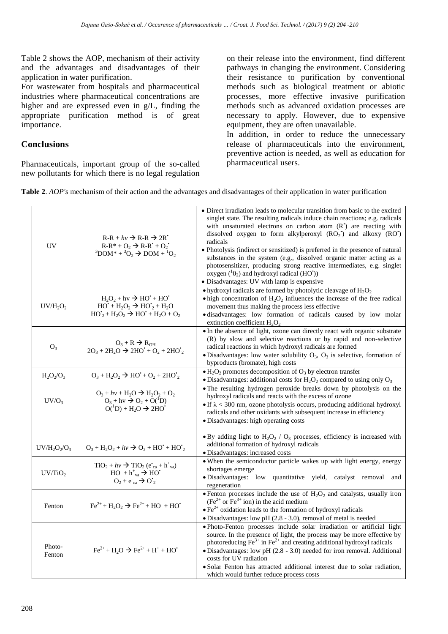Table 2 shows the AOP, mechanism of their activity and the advantages and disadvantages of their application in water purification.

For wastewater from hospitals and pharmaceutical industries where pharmaceutical concentrations are higher and are expressed even in g/L, finding the appropriate purification method is of great importance.

# **Conclusions**

Pharmaceuticals, important group of the so-called new pollutants for which there is no legal regulation

on their release into the environment, find different pathways in changing the environment. Considering their resistance to purification by conventional methods such as biological treatment or abiotic processes, more effective invasive purification methods such as advanced oxidation processes are necessary to apply. However, due to expensive equipment, they are often unavailable.

In addition, in order to reduce the unnecessary release of pharmaceuticals into the environment, preventive action is needed, as well as education for pharmaceutical users.

| Table 2. AOP's mechanism of their action and the advantages and disadvantages of their application in water purification |  |  |  |
|--------------------------------------------------------------------------------------------------------------------------|--|--|--|
|                                                                                                                          |  |  |  |

| <b>UV</b>           | $R-R + hv \rightarrow R-R \rightarrow 2R$<br>$R-R^* + Q_2 \rightarrow R-R^* + Q_2$<br>${}^{3}$ DOM* + ${}^{3}O_{2}$ $\rightarrow$ DOM + ${}^{1}O_{2}$ | • Direct irradiation leads to molecular transition from basic to the excited<br>singlet state. The resulting radicals induce chain reactions; e.g. radicals<br>with unsaturated electrons on carbon atom (R <sup>*</sup> ) are reacting with<br>dissolved oxygen to form alkylperoxyl $(RO2)$ and alkoxy $(RO1)$<br>radicals<br>• Photolysis (indirect or sensitized) is preferred in the presence of natural<br>substances in the system (e.g., dissolved organic matter acting as a<br>photosensitizer, producing strong reactive intermediates, e.g. singlet<br>oxygen $(^{1}O_{2})$ and hydroxyl radical (HO'))<br>• Disadvantages: UV with lamp is expensive |  |  |
|---------------------|-------------------------------------------------------------------------------------------------------------------------------------------------------|-------------------------------------------------------------------------------------------------------------------------------------------------------------------------------------------------------------------------------------------------------------------------------------------------------------------------------------------------------------------------------------------------------------------------------------------------------------------------------------------------------------------------------------------------------------------------------------------------------------------------------------------------------------------|--|--|
| $UV/H_2O_2$         | $H_2O_2 + hv \rightarrow HO^* + HO^*$<br>$HO' + H_2O_2 \rightarrow HO'_2 + H_2O$<br>$HO'_{2} + H_{2}O_{2} \rightarrow HO' + H_{2}O + O_{2}$           | • hydroxyl radicals are formed by photolytic cleavage of $H_2O_2$<br>$\bullet$ high concentration of $H_2O_2$ influences the increase of the free radical<br>movement thus making the process less effective<br>· disadvantages: low formation of radicals caused by low molar<br>extinction coefficient $H_2O_2$                                                                                                                                                                                                                                                                                                                                                 |  |  |
| $O_3$               | $O_3 + R \rightarrow R_{OH}$<br>$2O_3 + 2H_2O \rightarrow 2HO' + O_2 + 2HO'_{2}$                                                                      | • In the absence of light, ozone can directly react with organic substrate<br>(R) by slow and selective reactions or by rapid and non-selective<br>radical reactions in which hydroxyl radicals are formed<br>• Disadvantages: low water solubility $O_3$ , $O_3$ is selective, formation of<br>byproducts (bromate), high costs                                                                                                                                                                                                                                                                                                                                  |  |  |
| $H_2O_2/O_3$        | $O_3 + H_2O_2 \rightarrow HO + O_2 + 2HO_2$                                                                                                           | $\bullet$ H <sub>2</sub> O <sub>2</sub> promotes decomposition of O <sub>3</sub> by electron transfer<br>• Disadvantages: additional costs for $H_2O_2$ compared to using only $O_3$                                                                                                                                                                                                                                                                                                                                                                                                                                                                              |  |  |
| $UV/O_3$            | $O_3 + hv + H_2O \rightarrow H_2O_2 + O_2$<br>$O_3 + hv \rightarrow O_2 + O(^1D)$<br>$O(^1D) + H_2O \rightarrow 2HO'$                                 | • The resulting hydrogen peroxide breaks down by photolysis on the<br>hydroxyl radicals and reacts with the excess of ozone<br>• If $\lambda$ < 300 nm, ozone photolysis occurs, producing additional hydroxyl<br>radicals and other oxidants with subsequent increase in efficiency<br>· Disadvantages: high operating costs                                                                                                                                                                                                                                                                                                                                     |  |  |
| $UV/H_2O_2/O_3$     | $O_3 + H_2O_2 + hv \rightarrow O_2 + HO' + HO'_{2}$                                                                                                   | $\bullet$ By adding light to H <sub>2</sub> O <sub>2</sub> / O <sub>3</sub> processes, efficiency is increased with<br>additional formation of hydroxyl radicals<br>· Disadvantages: increased costs                                                                                                                                                                                                                                                                                                                                                                                                                                                              |  |  |
| UV/TiO <sub>2</sub> | $TiO2 + hv \rightarrow TiO2 (eca + h+va)$<br>$HO^- + h^+$ <sub>va</sub> $\rightarrow$ HO <sup>*</sup><br>$O_2 + e^-_{ca} \rightarrow O'_2$            | • When the semiconductor particle wakes up with light energy, energy<br>shortages emerge<br>· Disadvantages: low quantitative yield, catalyst removal and<br>regeneration                                                                                                                                                                                                                                                                                                                                                                                                                                                                                         |  |  |
| Fenton              | $Fe^{2+} + H_2O_2 \rightarrow Fe^{2+} + HO^- + HO^+$                                                                                                  | • Fenton processes include the use of $H_2O_2$ and catalysts, usually iron<br>$(Fe2+ or Fe3+ ion)$ in the acid medium<br>$\bullet$ Fe <sup>2+</sup> oxidation leads to the formation of hydroxyl radicals<br>· Disadvantages: low pH (2.8 - 3.0), removal of metal is needed                                                                                                                                                                                                                                                                                                                                                                                      |  |  |
| Photo-<br>Fenton    | $Fe^{2+} + H_2O \rightarrow Fe^{2+} + H^+ + HO^+$                                                                                                     | · Photo-Fenton processes include solar irradiation or artificial light<br>source. In the presence of light, the process may be more effective by<br>photoreducing $\mathbf{\tilde{F}e}^{3+}$ in $\mathbf{Fe}^{2+}$ and creating additional hydroxyl radicals<br>$\bullet$ Disadvantages: low pH (2.8 - 3.0) needed for iron removal. Additional<br>costs for UV radiation<br>• Solar Fenton has attracted additional interest due to solar radiation,<br>which would further reduce process costs                                                                                                                                                                 |  |  |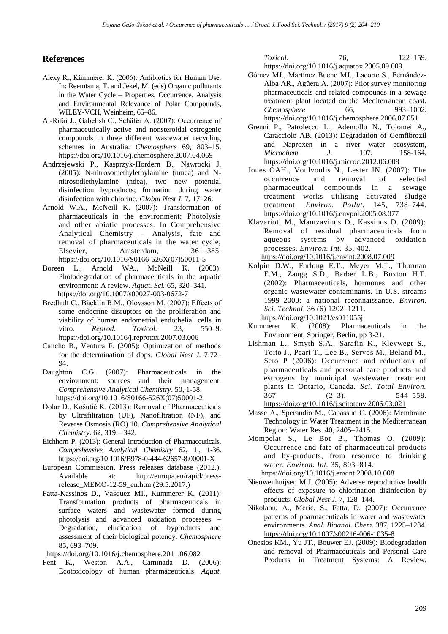## **References**

- Alexy R., Kümmerer K. (2006): Antibiotics for Human Use. In: Reemtsma, T. and Jekel, M. (eds) Organic pollutants in the Water Cycle – Properties, Occurrence, Analysis and Environmental Relevance of Polar Compounds, WILEY-VCH, Weinheim, 65–86.
- Al-Rifai J., Gabelish C., Schäfer A. (2007): Occurrence of pharmaceutically active and nonsteroidal estrogenic compounds in three different wastewater recycling schemes in Australia. *Chemosphere* 69, 803–15. <https://doi.org/10.1016/j.chemosphere.2007.04.069>
- Andrzejewski P., Kasprzyk-Hordern B., Nawrocki J. (2005): N-nitrosomethylethylamine (nmea) and Nnitrosodiethylamine (ndea), two new potential disinfection byproducts; formation during water disinfection with chlorine. *Global Nest J.* 7, 17–26.
- Arnold W.A., McNeill K. (2007): Transformation of pharmaceuticals in the environment: Photolysis and other abiotic processes. In Comprehensive Analytical Chemistry – Analysis, fate and removal of pharmaceuticals in the water cycle, Elsevier, Amsterdam, 361–385. [https://doi.org/10.1016/S0166-526X\(07\)50011-5](https://doi.org/10.1016/S0166-526X(07)50011-5)
- Boreen L., Arnold WA., McNeill K. (2003): Photodegradation of pharmaceuticals in the aquatic environment: A review. *Aquat. Sci.* 65, 320–341. <https://doi.org/10.1007/s00027-003-0672-7>
- Bredhult C., Bäcklin B.M., Olovsson M. (2007): Effects of some endocrine disruptors on the proliferation and viability of human endometrial endothelial cells in vitro. *Reprod. Toxicol.* 23, 550–9. <https://doi.org/10.1016/j.reprotox.2007.03.006>
- Cancho B., Ventura F. (2005): Optimization of methods for the determination of dbps. *Global Nest J.* 7:72– 94.
- Daughton C.G. (2007): Pharmaceuticals in the environment: sources and their management. *Comprehensive Analytical Chemistry*. 50, 1-58. [https://doi.org/10.1016/S0166-526X\(07\)50001-2](https://doi.org/10.1016/S0166-526X(07)50001-2)
- Dolar D., Košutić K. (2013): Removal of Pharmaceuticals by Ultrafiltration (UF), Nanofiltration (NF), and Reverse Osmosis (RO) 10. *Comprehensive Analytical Chemistry*. 62, 319 – 342.
- Eichhorn P. (2013): General Introduction of Pharmaceuticals. *Comprehensive Analytical Chemistry* 62, 1., 1-36. <https://doi.org/10.1016/B978-0-444-62657-8.00001-X>
- European Commission, Press releases database (2012.). Available at: http://europa.eu/rapid/pressrelease\_MEMO-12-59\_en.htm (29.5.2017.)
- Fatta-Kassinos D., Vasquez MI., Kummerer K. (2011): Transformation products of pharmaceuticals in surface waters and wastewater formed during photolysis and advanced oxidation processes – Degradation, elucidation of byproducts and assessment of their biological potency. *Chemosphere*  85, 693–709.

<https://doi.org/10.1016/j.chemosphere.2011.06.082>

Fent K., Weston A.A., Caminada D. (2006): Ecotoxicology of human pharmaceuticals. *Aquat.* 

*Toxicol.* 76, 122–159. <https://doi.org/10.1016/j.aquatox.2005.09.009>

- Gómez MJ., Martínez Bueno MJ., Lacorte S., Fernández-Alba AR., Agüera A. (2007): Pilot survey monitoring pharmaceuticals and related compounds in a sewage treatment plant located on the Mediterranean coast. *Chemosphere* 66, 993–1002. <https://doi.org/10.1016/j.chemosphere.2006.07.051>
- Grenni P., Patrolecco L., Ademollo N., Tolomei A., Caracciolo AB. (2013): Degradation of Gemfibrozil and Naproxen in a river water ecosystem, *Microchem. J.* 107, 158-164. <https://doi.org/10.1016/j.microc.2012.06.008>
- Jones OAH., Voulvoulis N., Lester JN. (2007): The occurrence and removal of selected pharmaceutical compounds in a sewage treatment works utilising activated sludge treatment: *Environ. Pollut.* 145, 738–744. <https://doi.org/10.1016/j.envpol.2005.08.077>
- Klavarioti M., Mantzavinos D., Kassinos D. (2009): Removal of residual pharmaceuticals from aqueous systems by advanced oxidation processes. *Environ. Int.* 35, 402. <https://doi.org/10.1016/j.envint.2008.07.009>
- Kolpin D.W., Furlong E.T., Meyer M.T., Thurman E.M., Zaugg S.D., Barber L.B., Buxton H.T. (2002): Pharmaceuticals, hormones and other organic wastewater contaminants. In U.S. streams 1999–2000: a national reconnaissance. *Environ. Sci. Technol*. 36 (6) 1202–1211.

<https://doi.org/10.1021/es011055j>

- Kummerer K. (2008): Pharmaceuticals in the Environment, Springer, Berlin, pp 3-21.
- Lishman L., Smyth S.A., Sarafin K., Kleywegt S., Toito J., Peart T., Lee B., Servos M., Beland M., Seto P (2006): Occurrence and reductions of pharmaceuticals and personal care products and estrogens by municipal wastewater treatment plants in Ontario, Canada. *Sci. Total Environ.*  $367$   $(2-3)$ ,  $544-558$ . <https://doi.org/10.1016/j.scitotenv.2006.03.021>
- Masse A., Sperandio M., Cabassud C. (2006): Membrane Technology in Water Treatment in the Mediterranean Region: Water Res. 40, 2405–2415.
- Mompelat S., Le Bot B., Thomas O. (2009): Occurrence and fate of pharmaceutical products and by-products, from resource to drinking water. *Environ. Int.* 35, 803–814. <https://doi.org/10.1016/j.envint.2008.10.008>
- Nieuwenhuijsen M.J. (2005): Adverse reproductive health effects of exposure to chlorination disinfection by products. *Global Nest J.* 7, 128–144.
- Nikolaou, A., Meric, S., Fatta, D. (2007): Occurrence patterns of pharmaceuticals in water and wastewater environments. *Anal. Bioanal. Chem.* 387, 1225–1234. <https://doi.org/10.1007/s00216-006-1035-8>
- Onesios KM., Yu JT., Bouwer EJ. (2009): Biodegradation and removal of Pharmaceuticals and Personal Care Products in Treatment Systems: A Review.